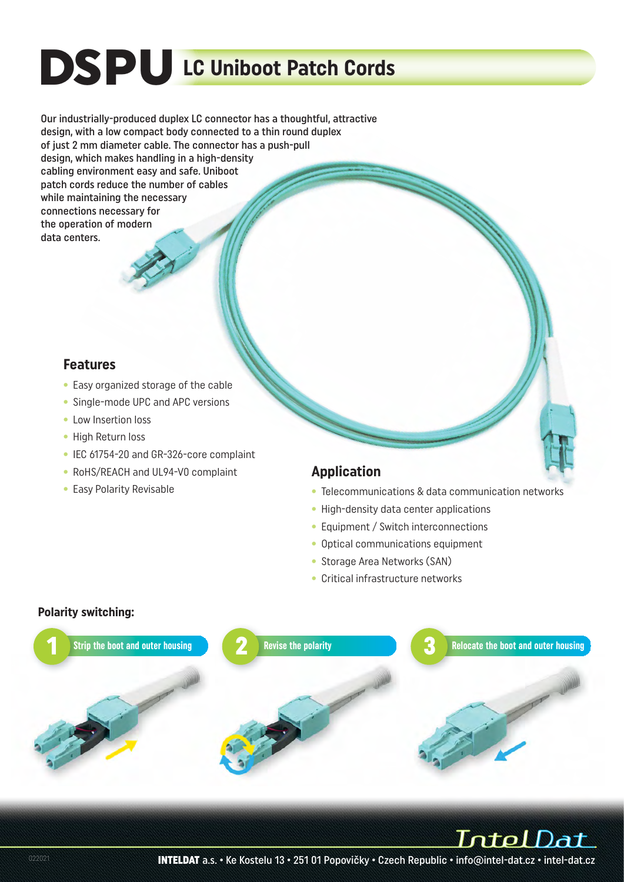# DSPU **LC Uniboot Patch Cords**

Our industrially-produced duplex LC connector has a thoughtful, attractive design, with a low compact body connected to a thin round duplex of just 2 mm diameter cable. The connector has a push-pull design, which makes handling in a high-density cabling environment easy and safe. Uniboot patch cords reduce the number of cables while maintaining the necessary connections necessary for the operation of modern data centers.

#### **Features**

- Easy organized storage of the cable
- Single-mode UPC and APC versions
- Low Insertion loss
- High Return loss
- IEC 61754-20 and GR-326-core complaint
- RoHS/REACH and UL94-V0 complaint
- Easy Polarity Revisable

#### **Application**

- Telecommunications & data communication networks
- High-density data center applications
- Equipment / Switch interconnections
- Optical communications equipment
- Storage Area Networks (SAN)
- Critical infrastructure networks

#### **Polarity switching:**



IntelDat

INTELDAT a.s. • Ke Kostelu 13 • 251 01 Popovičky • Czech Republic • info@intel-dat.cz • intel-dat.cz